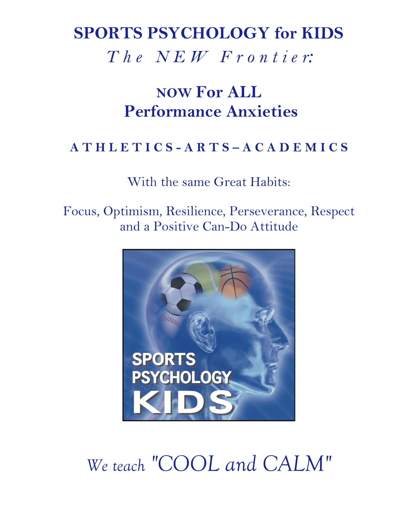# **SPORTS PSYCHOLOGY for KIDS**

*T h e N E W F r o n t i e r:*

# **NOW For ALL Performance Anxieties**

#### **A T H L E T I C S - A R T S – A C A D E M I C S**

With the same Great Habits:

Focus, Optimism, Resilience, Perseverance, Respect and a Positive Can-Do Attitude



# *We teach "COOL and CALM"*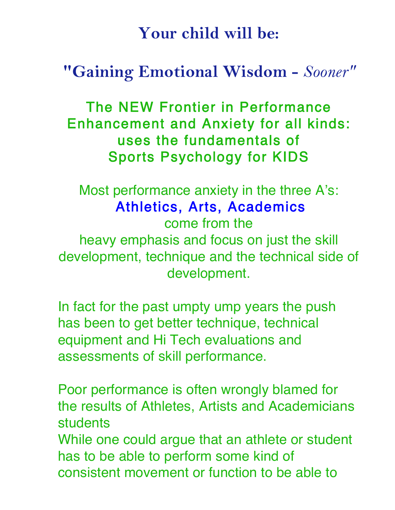# **Your child will be:**

## **"Gaining Emotional Wisdom -** *Sooner"*

The NEW Frontier in Performance Enhancement and Anxiety for all kinds: uses the fundamentals of Sports Psychology for KIDS

Most performance anxiety in the three A's: Athletics, Arts, Academics come from the heavy emphasis and focus on just the skill development, technique and the technical side of development.

In fact for the past umpty ump years the push has been to get better technique, technical equipment and Hi Tech evaluations and assessments of skill performance.

Poor performance is often wrongly blamed for the results of Athletes, Artists and Academicians students

While one could argue that an athlete or student has to be able to perform some kind of consistent movement or function to be able to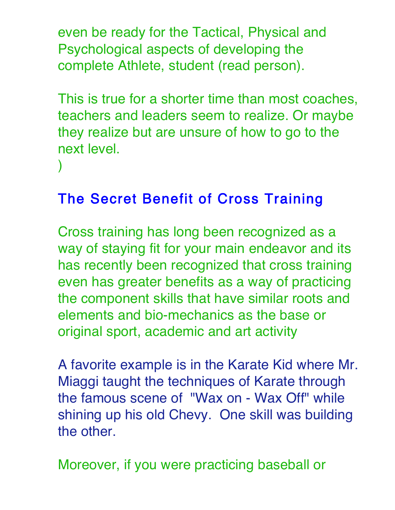even be ready for the Tactical, Physical and Psychological aspects of developing the complete Athlete, student (read person).

This is true for a shorter time than most coaches, teachers and leaders seem to realize. Or maybe they realize but are unsure of how to go to the next level.

The Secret Benefit of Cross Training

)

Cross training has long been recognized as a way of staying fit for your main endeavor and its has recently been recognized that cross training even has greater benefits as a way of practicing the component skills that have similar roots and elements and bio-mechanics as the base or original sport, academic and art activity

A favorite example is in the Karate Kid where Mr. Miaggi taught the techniques of Karate through the famous scene of "Wax on - Wax Off" while shining up his old Chevy. One skill was building the other.

Moreover, if you were practicing baseball or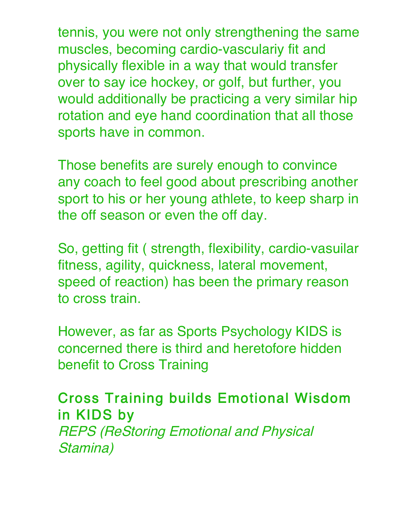tennis, you were not only strengthening the same muscles, becoming cardio-vasculariy fit and physically flexible in a way that would transfer over to say ice hockey, or golf, but further, you would additionally be practicing a very similar hip rotation and eye hand coordination that all those sports have in common.

Those benefits are surely enough to convince any coach to feel good about prescribing another sport to his or her young athlete, to keep sharp in the off season or even the off day.

So, getting fit ( strength, flexibility, cardio-vasuilar fitness, agility, quickness, lateral movement, speed of reaction) has been the primary reason to cross train.

However, as far as Sports Psychology KIDS is concerned there is third and heretofore hidden benefit to Cross Training

Cross Training builds Emotional Wisdom in KIDS by REPS (ReStoring Emotional and Physical Stamina)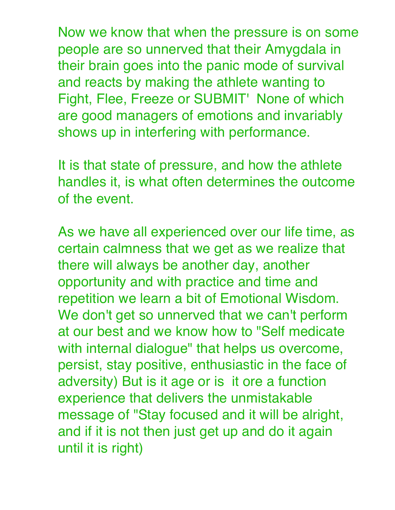Now we know that when the pressure is on some people are so unnerved that their Amygdala in their brain goes into the panic mode of survival and reacts by making the athlete wanting to Fight, Flee, Freeze or SUBMIT' None of which are good managers of emotions and invariably shows up in interfering with performance.

It is that state of pressure, and how the athlete handles it, is what often determines the outcome of the event.

As we have all experienced over our life time, as certain calmness that we get as we realize that there will always be another day, another opportunity and with practice and time and repetition we learn a bit of Emotional Wisdom. We don't get so unnerved that we can't perform at our best and we know how to "Self medicate with internal dialogue" that helps us overcome, persist, stay positive, enthusiastic in the face of adversity) But is it age or is it ore a function experience that delivers the unmistakable message of "Stay focused and it will be alright, and if it is not then just get up and do it again until it is right)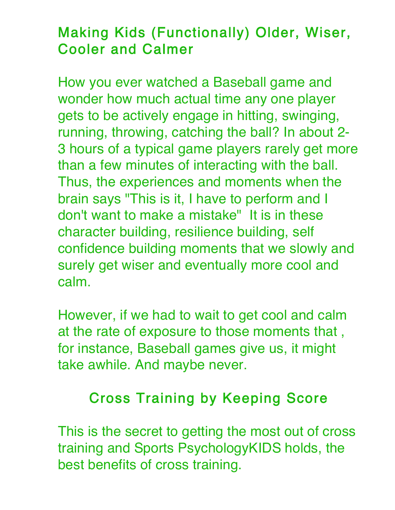### Making Kids (Functionally) Older, Wiser, Cooler and Calmer

How you ever watched a Baseball game and wonder how much actual time any one player gets to be actively engage in hitting, swinging, running, throwing, catching the ball? In about 2- 3 hours of a typical game players rarely get more than a few minutes of interacting with the ball. Thus, the experiences and moments when the brain says "This is it, I have to perform and I don't want to make a mistake" It is in these character building, resilience building, self confidence building moments that we slowly and surely get wiser and eventually more cool and calm.

However, if we had to wait to get cool and calm at the rate of exposure to those moments that , for instance, Baseball games give us, it might take awhile. And maybe never.

#### Cross Training by Keeping Score

This is the secret to getting the most out of cross training and Sports PsychologyKIDS holds, the best benefits of cross training.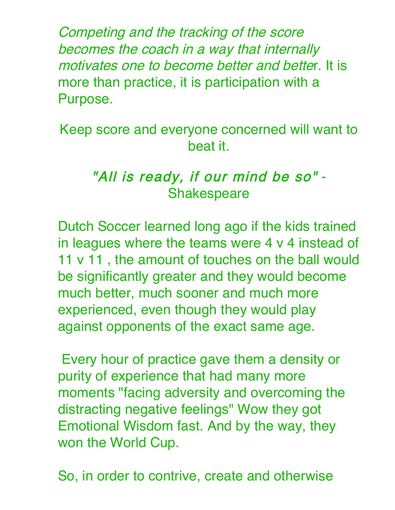Competing and the tracking of the score becomes the coach in a way that internally motivates one to become better and better. It is more than practice, it is participation with a Purpose.

Keep score and everyone concerned will want to beat it.

#### "All is ready, if our mind be so" - **Shakespeare**

Dutch Soccer learned long ago if the kids trained in leagues where the teams were 4 v 4 instead of 11 v 11 , the amount of touches on the ball would be significantly greater and they would become much better, much sooner and much more experienced, even though they would play against opponents of the exact same age.

Every hour of practice gave them a density or purity of experience that had many more moments "facing adversity and overcoming the distracting negative feelings" Wow they got Emotional Wisdom fast. And by the way, they won the World Cup.

So, in order to contrive, create and otherwise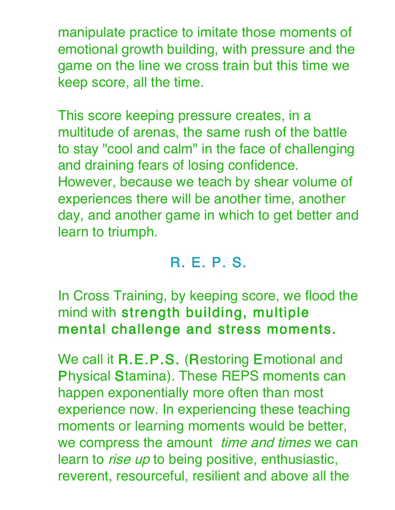manipulate practice to imitate those moments of emotional growth building, with pressure and the game on the line we cross train but this time we keep score, all the time.

This score keeping pressure creates, in a multitude of arenas, the same rush of the battle to stay "cool and calm" in the face of challenging and draining fears of losing confidence. However, because we teach by shear volume of experiences there will be another time, another day, and another game in which to get better and learn to triumph.

### R. E. P. S.

In Cross Training, by keeping score, we flood the mind with strength building, multiple mental challenge and stress moments.

We call it R.E.P.S. (Restoring Emotional and Physical Stamina). These REPS moments can happen exponentially more often than most experience now. In experiencing these teaching moments or learning moments would be better, we compress the amount time and times we can learn to *rise up* to being positive, enthusiastic, reverent, resourceful, resilient and above all the